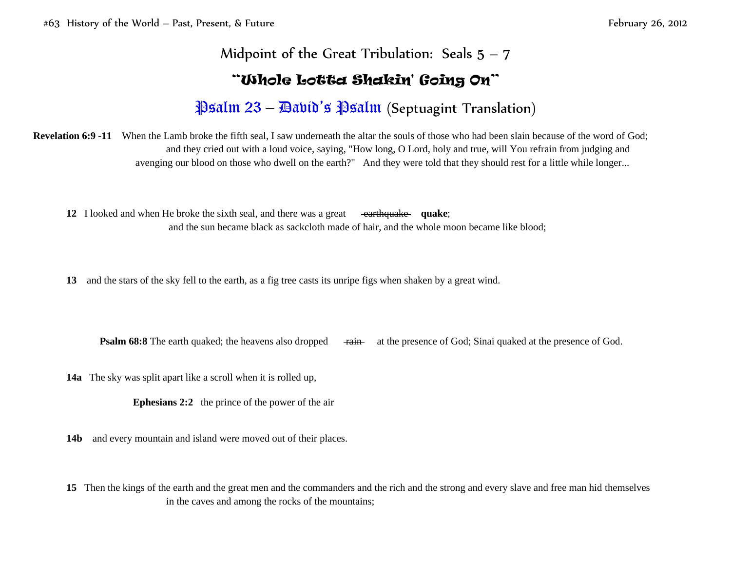## Midpoint of the Great Tribulation: Seals  $5 - 7$

## "Whole Lotta Shakin' Going On"

# $\frac{23 - \text{Matrix}}{23 - \text{Matrix}}$  Psalm (Septuagint Translation)

**Revelation 6:9 -11** When the Lamb broke the fifth seal, I saw underneath the altar the souls of those who had been slain because of the word of God; and they cried out with a loud voice, saying, "How long, O Lord, holy and true, will You refrain from judging and avenging our blood on those who dwell on the earth?" And they were told that they should rest for a little while longer...

**12** I looked and when He broke the sixth seal, and there was a great earthquake quake; and the sun became black as sackcloth made of hair, and the whole moon became like blood;

**13** and the stars of the sky fell to the earth, as a fig tree casts its unripe figs when shaken by a great wind.

**Psalm 68:8** The earth quaked; the heavens also dropped  $\frac{1}{\text{train}}$  at the presence of God; Sinai quaked at the presence of God.

**14a** The sky was split apart like a scroll when it is rolled up,

**Ephesians 2:2** the prince of the power of the air

**14b** and every mountain and island were moved out of their places.

**15** Then the kings of the earth and the great men and the commanders and the rich and the strong and every slave and free man hid themselves in the caves and among the rocks of the mountains;